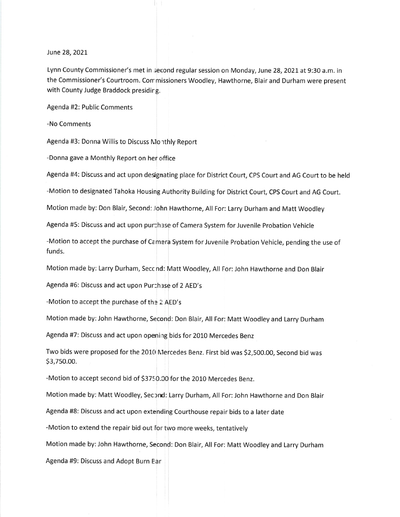June 28, 2021

Lynn County Commissioner's met in second regular session on Monday, June 28, 2021 at 9:30 a.m. in the Commissioner's Courtroom. Cor missioners Woodley, Hawthorne, Blair and Durham were present with County Judge Braddock presidirg.

Agenda #2: Public Comments

-No Comments

Agenda #3: Donna Willis to Discuss Monthly Report

-Donna gave a Monthly Report on her office

Agenda #4: Discuss and act upon designating place for District Court, CPS Court and AG Court to be held

-Motion to designated Tahoka Housing Authority Building for District Court, CPS Court and AG Court.

Motion made by: Don Blair, Second: John Hawthorne, All For: Larry Durham and Matt Woodley

Agenda #5: Discuss and act upon purthase of Camera System for Juvenile Probation Vehicle

-Motion to accept the purchase of Camera System for Juvenile Probation Vehicle, pending the use of funds.

Motion made by: Larry Durham, Secc nd: Matt Woodley, All For: John Hawthorne and Don Blair

Agenda #6: Discuss and act upon Purchase of 2 AED's

-Motion to accept the purchase of the 2 AED's

Motion made by: John Hawthorne, Second: Don Blair, All For: Matt Woodley and Larry Durham

Agenda #7: Discuss and act upon openirg bids for 2010 Mercedes Benz

Two bids were proposed for the 2010 Mercedes Benz. First bid was \$2,500.00, Second bid was<br>\$3,750.00.

-Motion to accept second bid of \$3750.00 for the 2010 Mercedes Benz.

Motion made by: Matt Woodley, Second: Larry Durham, All For: John Hawthorne and Don Blair

Agenda #8: Discuss and act upon extending Courthouse repair bids to a later date

-Motion to extend the repair bid out for two more weeks, tentatively

Motion made by:John Hawthorne, Second: Don Blair, All For: Matt Woodley and Larry Durham

Agenda #9: Discuss and Adopt Burn Ear